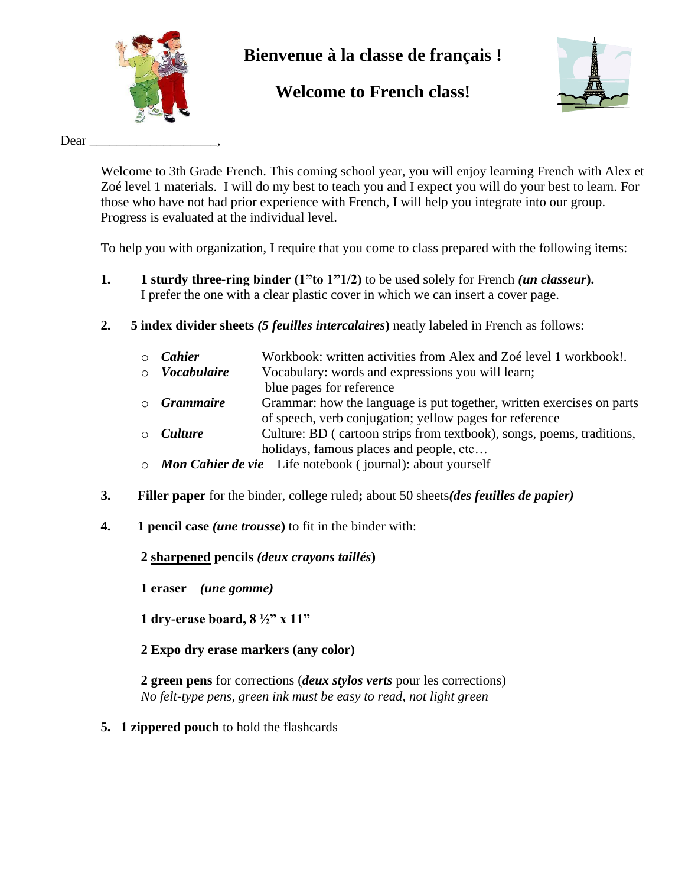

# **Bienvenue à la classe de français !**

# **Welcome to French class!**



Dear

Welcome to 3th Grade French. This coming school year, you will enjoy learning French with Alex et Zoé level 1 materials. I will do my best to teach you and I expect you will do your best to learn. For those who have not had prior experience with French, I will help you integrate into our group. Progress is evaluated at the individual level.

To help you with organization, I require that you come to class prepared with the following items:

- **1. 1 sturdy three-ring binder (1"to 1"1/2)** to be used solely for French *(un classeur***).**  I prefer the one with a clear plastic cover in which we can insert a cover page.
- **2. 5 index divider sheets** *(5 feuilles intercalaires***)** neatly labeled in French as follows:

| $\circ$ <i>Cahier</i> |  | Workbook: written activities from Alex and Zoé level 1 workbook! |  |  |  |
|-----------------------|--|------------------------------------------------------------------|--|--|--|
|-----------------------|--|------------------------------------------------------------------|--|--|--|

- o *Vocabulaire* Vocabulary: words and expressions you will learn;
	- blue pages for reference
- o *Grammaire* Grammar: how the language is put together, written exercises on parts of speech, verb conjugation; yellow pages for reference
- o *Culture* Culture: BD ( cartoon strips from textbook), songs, poems, traditions, holidays, famous places and people, etc...
- o *Mon Cahier de vie* Life notebook ( journal): about yourself
- **3. Filler paper** for the binder, college ruled**;** about 50 sheets*(des feuilles de papier)*
- **4. 1 pencil case** *(une trousse***)** to fit in the binder with:

**2 sharpened pencils** *(deux crayons taillés***)**

**1 eraser** *(une gomme)*

**1 dry-erase board, 8 ½" x 11"**

**2 Expo dry erase markers (any color)**

**2 green pens** for corrections (*deux stylos verts* pour les corrections) *No felt-type pens, green ink must be easy to read, not light green*

**5. 1 zippered pouch** to hold the flashcards